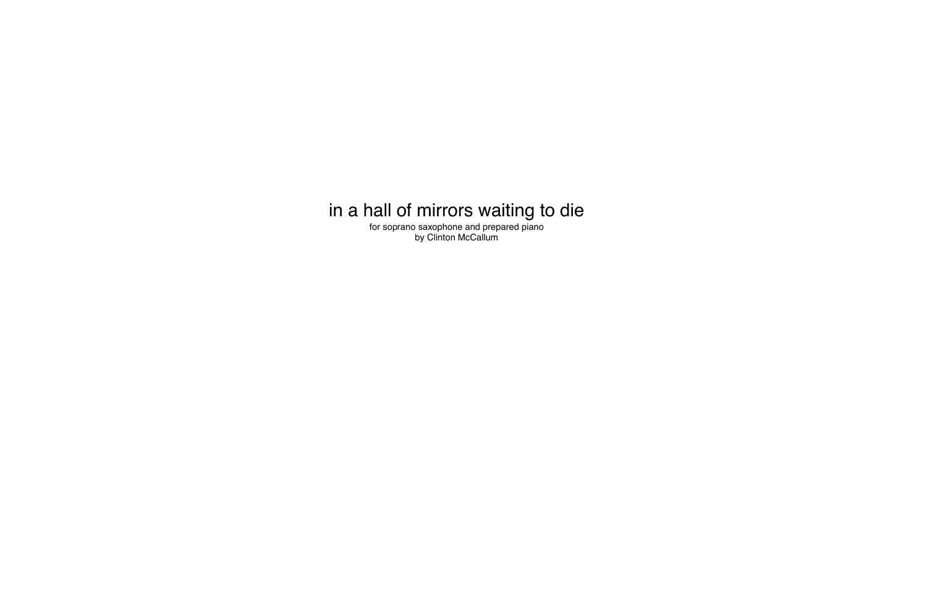# in a hall of mirrors waiting to die

for soprano saxophone and prepared piano by Clinton McCallum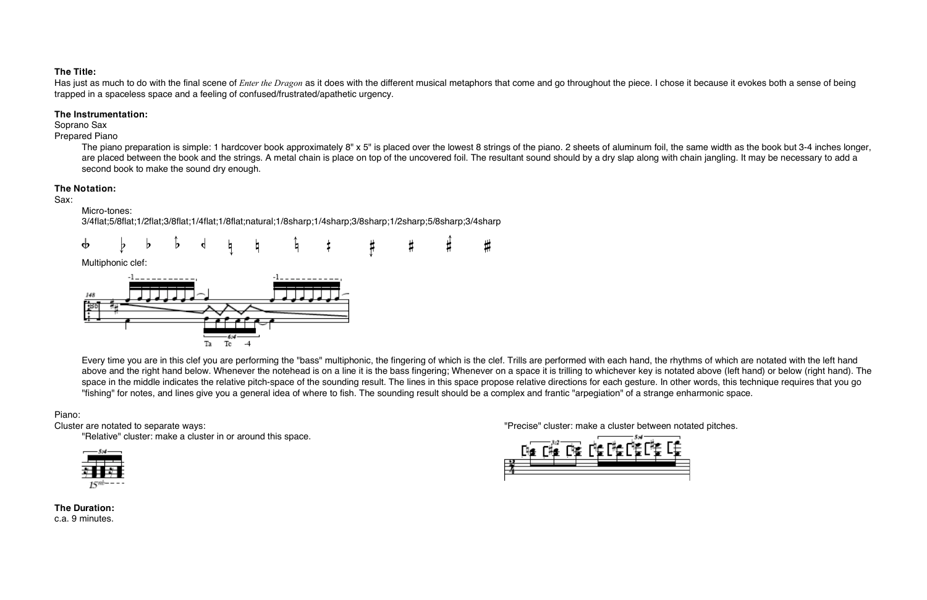### **The Title:**

Has just as much to do with the final scene of *Enter the Dragon* as it does with the different musical metaphors that come and go throughout the piece. I chose it because it evokes both a sense of being trapped in a spaceless space and a feeling of confused/frustrated/apathetic urgency.

## **The Instrumentation:**

Soprano Sax

Prepared Piano

The piano preparation is simple: 1 hardcover book approximately 8" x 5" is placed over the lowest 8 strings of the piano. 2 sheets of aluminum foil, the same width as the book but 3-4 inches longer, are placed between the book and the strings. A metal chain is place on top of the uncovered foil. The resultant sound should by a dry slap along with chain jangling. It may be necessary to add a second book to make the sound dry enough.

# **The Notation:**

Sax:

Micro-tones:

3/4flat;5/8flat;1/2flat;3/8flat;1/4flat;1/8flat;natural;1/8sharp;1/4sharp;3/8sharp;1/2sharp;5/8sharp;3/4sharp



Every time you are in this clef you are performing the "bass" multiphonic, the fingering of which is the clef. Trills are performed with each hand, the rhythms of which are notated with the left hand above and the right hand below. Whenever the notehead is on a line it is the bass fingering; Whenever on a space it is trilling to whichever key is notated above (left hand) or below (right hand). The space in the middle indicates the relative pitch-space of the sounding result. The lines in this space propose relative directions for each gesture. In other words, this technique requires that you go "fishing" for notes, and lines give you a general idea of where to fish. The sounding result should be a complex and frantic "arpegiation" of a strange enharmonic space.

Piano:

Cluster are notated to separate ways:

"Relative" cluster: make a cluster in or around this space.

Та

Tc









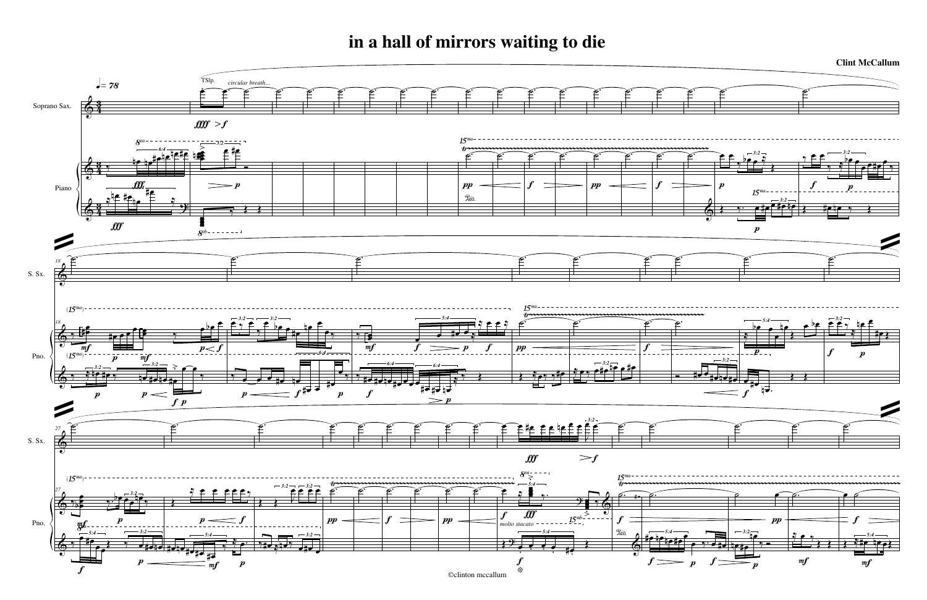

# **in a hall of mirrors waiting to die**

## **Clint McCallum**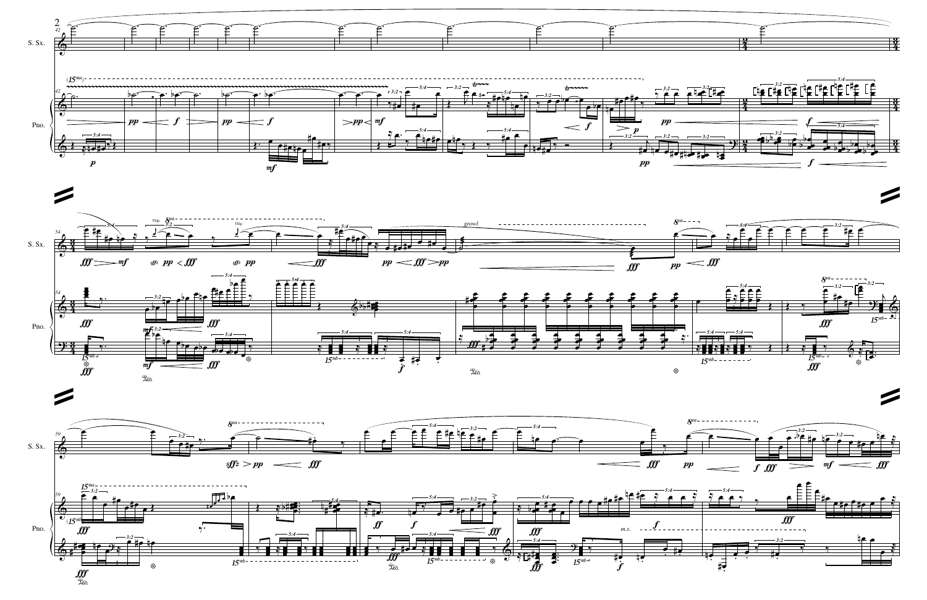









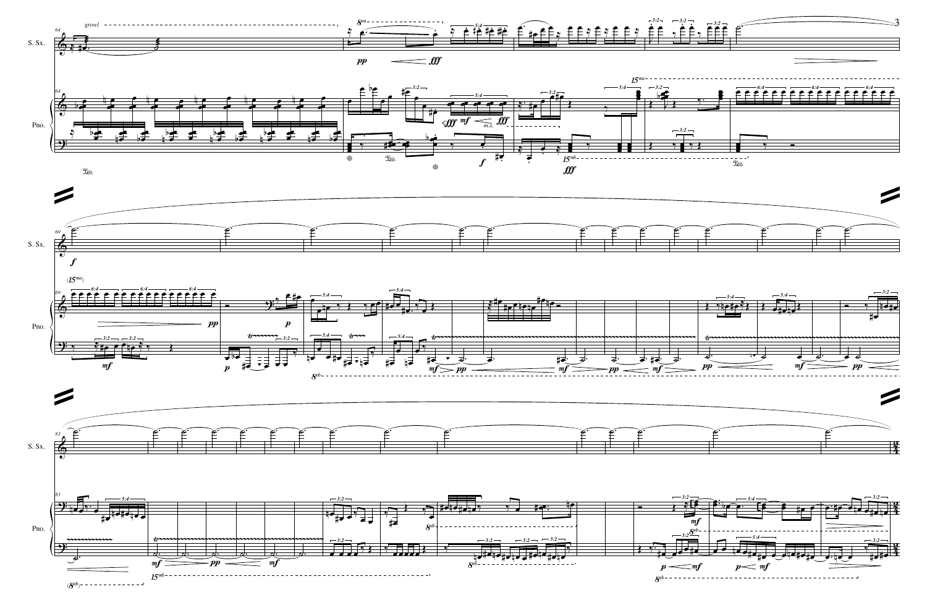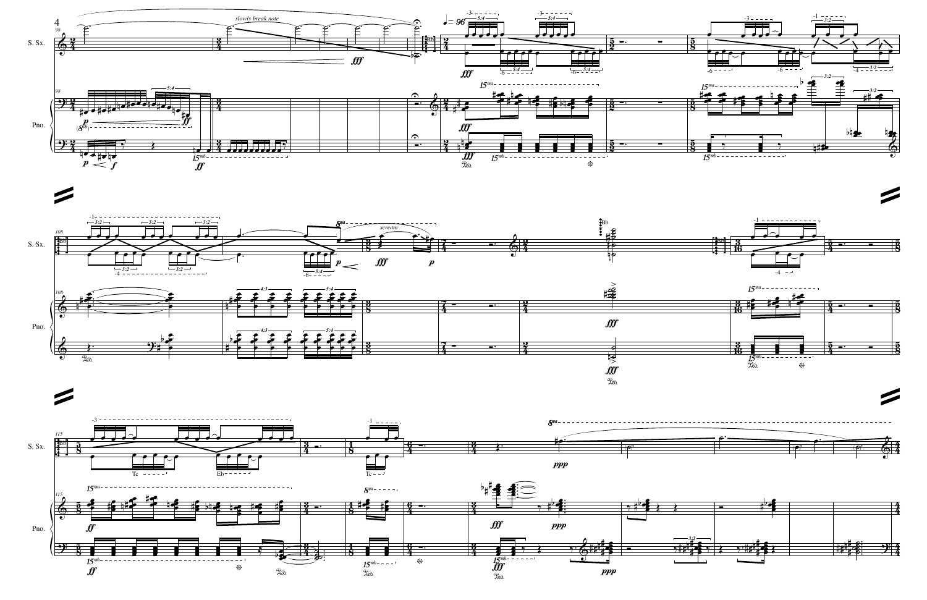

 $\blacktriangleright$ 







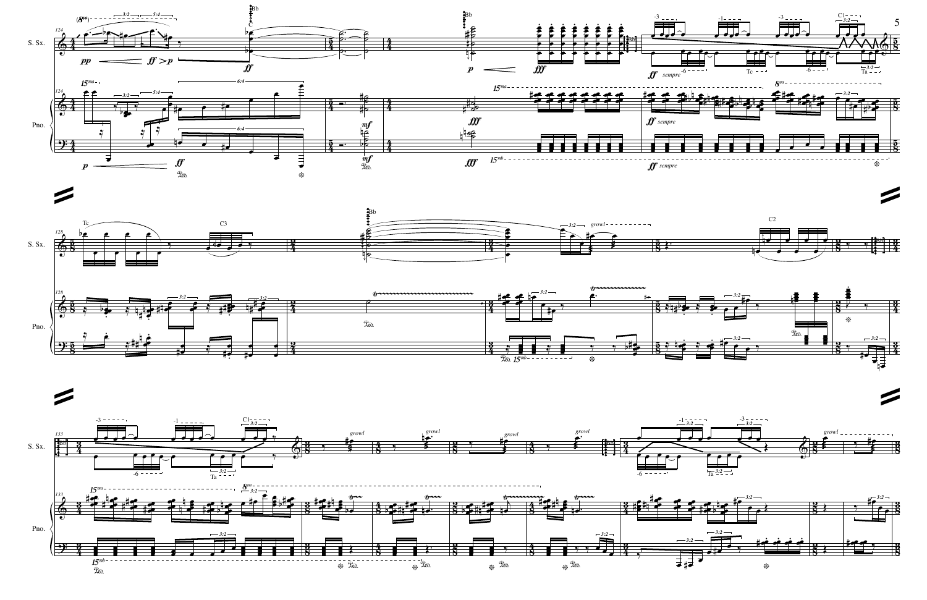









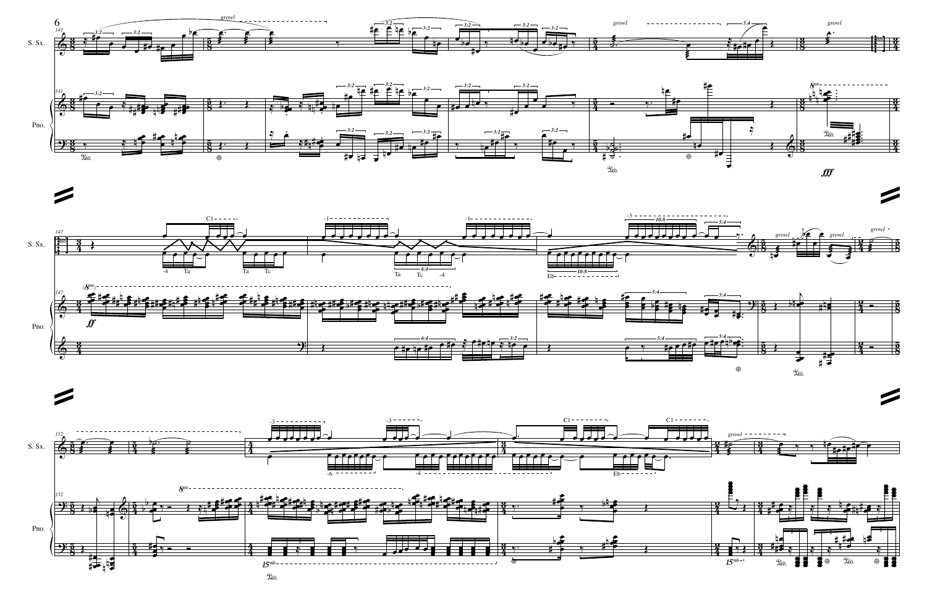



°

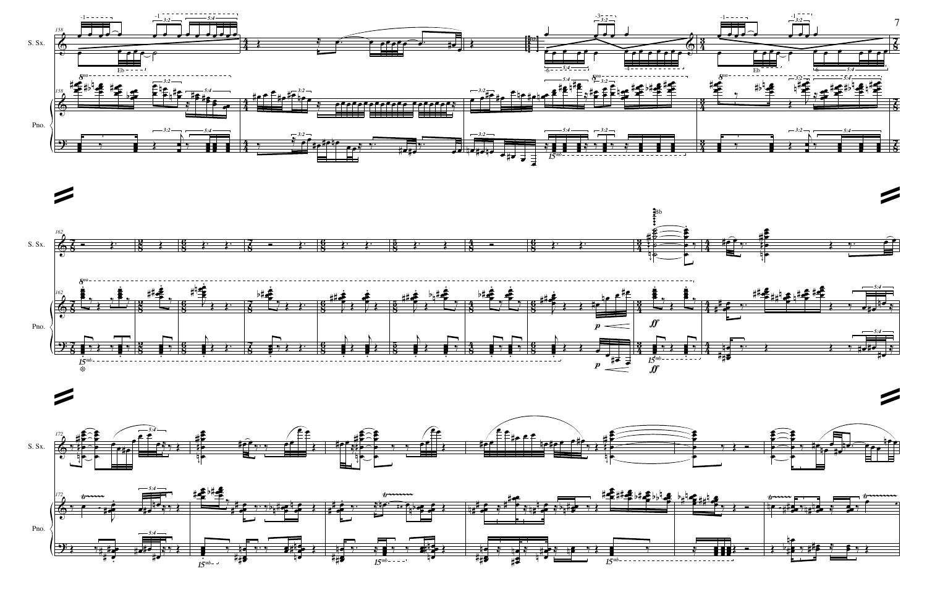











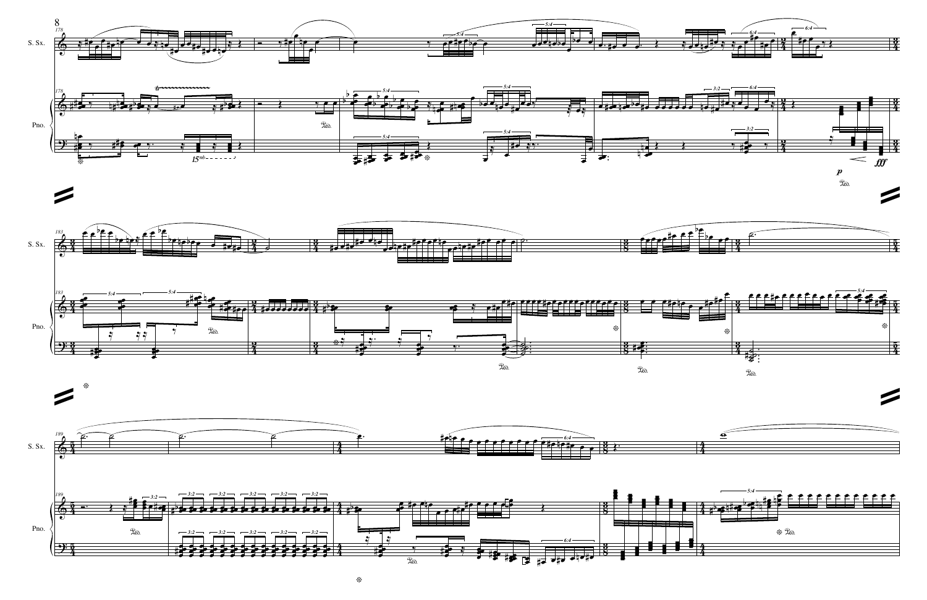



°



œ



œ



\*

œ

 $\overline{\mathfrak{X}}$ 0.

œ

œœ œ # œœ #œœ <sup>œ</sup>

<u></u><br>≋ #ਦ ਦ#ਦ ਦ¤ਦ#

– – –